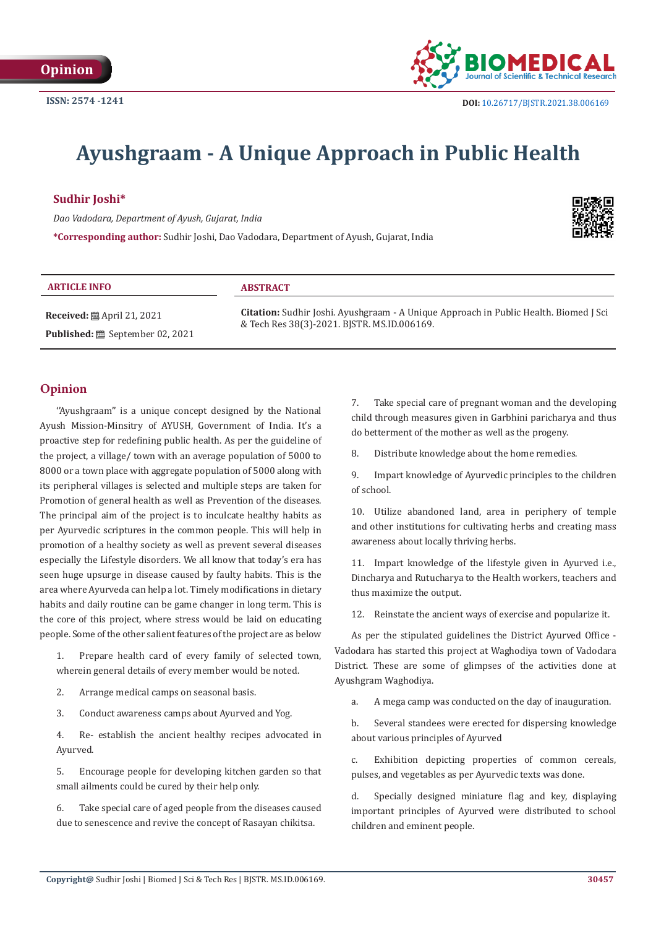

# **Ayushgraam - A Unique Approach in Public Health**

## **Sudhir Joshi\***

*Dao Vadodara, Department of Ayush, Gujarat, India* **\*Corresponding author:** Sudhir Joshi, Dao Vadodara, Department of Ayush, Gujarat, India



#### **ARTICLE INFO ABSTRACT**

**Received:** April 21, 2021 **Published: i** September 02, 2021 **Citation:** Sudhir Joshi. Ayushgraam - A Unique Approach in Public Health. Biomed J Sci & Tech Res 38(3)-2021. BJSTR. MS.ID.006169.

# **Opinion**

''Ayushgraam'' is a unique concept designed by the National Ayush Mission-Minsitry of AYUSH, Government of India. It's a proactive step for redefining public health. As per the guideline of the project, a village/ town with an average population of 5000 to 8000 or a town place with aggregate population of 5000 along with its peripheral villages is selected and multiple steps are taken for Promotion of general health as well as Prevention of the diseases. The principal aim of the project is to inculcate healthy habits as per Ayurvedic scriptures in the common people. This will help in promotion of a healthy society as well as prevent several diseases especially the Lifestyle disorders. We all know that today's era has seen huge upsurge in disease caused by faulty habits. This is the area where Ayurveda can help a lot. Timely modifications in dietary habits and daily routine can be game changer in long term. This is the core of this project, where stress would be laid on educating people. Some of the other salient features of the project are as below

1. Prepare health card of every family of selected town, wherein general details of every member would be noted.

- 2. Arrange medical camps on seasonal basis.
- 3. Conduct awareness camps about Ayurved and Yog.

4. Re- establish the ancient healthy recipes advocated in Ayurved.

5. Encourage people for developing kitchen garden so that small ailments could be cured by their help only.

6. Take special care of aged people from the diseases caused due to senescence and revive the concept of Rasayan chikitsa.

7. Take special care of pregnant woman and the developing child through measures given in Garbhini paricharya and thus do betterment of the mother as well as the progeny.

8. Distribute knowledge about the home remedies.

9. Impart knowledge of Ayurvedic principles to the children of school.

10. Utilize abandoned land, area in periphery of temple and other institutions for cultivating herbs and creating mass awareness about locally thriving herbs.

11. Impart knowledge of the lifestyle given in Ayurved i.e., Dincharya and Rutucharya to the Health workers, teachers and thus maximize the output.

12. Reinstate the ancient ways of exercise and popularize it.

As per the stipulated guidelines the District Ayurved Office - Vadodara has started this project at Waghodiya town of Vadodara District. These are some of glimpses of the activities done at Ayushgram Waghodiya.

a. A mega camp was conducted on the day of inauguration.

b. Several standees were erected for dispersing knowledge about various principles of Ayurved

c. Exhibition depicting properties of common cereals, pulses, and vegetables as per Ayurvedic texts was done.

d. Specially designed miniature flag and key, displaying important principles of Ayurved were distributed to school children and eminent people.